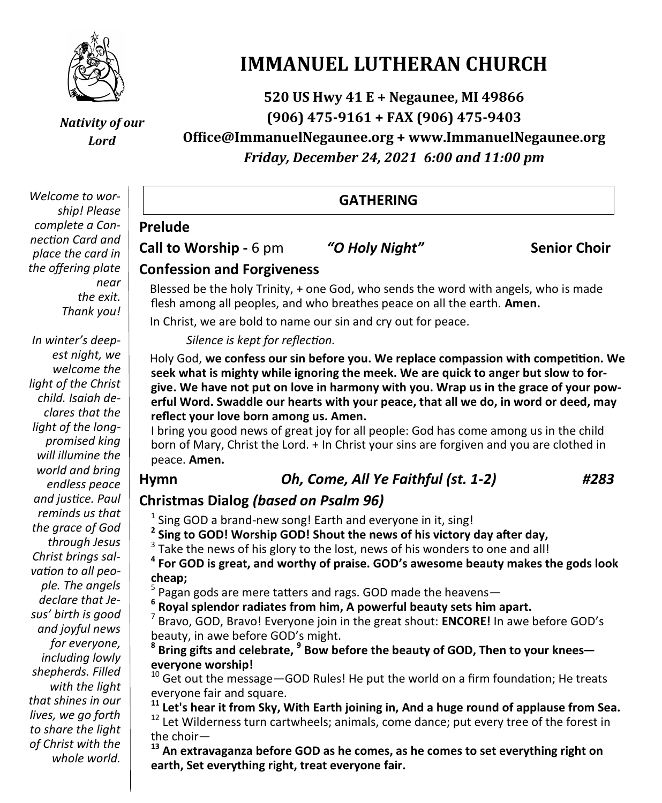

*Nativity of our Lord*

*Welcome to wor-* **GATHERING** *ship! Please complete a Connection Card and place the card in the offering plate near the exit. Thank you!*

*In winter's deepest night, we welcome the light of the Christ child. Isaiah declares that the light of the longpromised king will illumine the world and bring endless peace and justice. Paul reminds us that the grace of God through Jesus Christ brings salvation to all people. The angels declare that Jesus' birth is good and joyful news for everyone, including lowly shepherds. Filled with the light that shines in our lives, we go forth to share the light of Christ with the whole world.*

# **IMMANUEL LUTHERAN CHURCH**

**520 US Hwy 41 E + Negaunee, MI 49866 (906) 475-9161 + FAX (906) 475-9403**

**Office@ImmanuelNegaunee.org + www.ImmanuelNegaunee.org** *Friday, December 24, 2021 6:00 and 11:00 pm*

**Call to Worship -** 6 pm *"O Holy Night"* **Senior Choir**

**Prelude**

# **Confession and Forgiveness**

Blessed be the holy Trinity, + one God, who sends the word with angels, who is made flesh among all peoples, and who breathes peace on all the earth. **Amen.**

In Christ, we are bold to name our sin and cry out for peace.

*Silence is kept for reflection.*

Holy God, **we confess our sin before you. We replace compassion with competition. We seek what is mighty while ignoring the meek. We are quick to anger but slow to forgive. We have not put on love in harmony with you. Wrap us in the grace of your powerful Word. Swaddle our hearts with your peace, that all we do, in word or deed, may reflect your love born among us. Amen.**

I bring you good news of great joy for all people: God has come among us in the child born of Mary, Christ the Lord. + In Christ your sins are forgiven and you are clothed in peace. **Amen.**

# **Hymn** *Oh, Come, All Ye Faithful (st. 1-2) #283*

# **Christmas Dialog** *(based on Psalm 96)*

 $<sup>1</sup>$  Sing GOD a brand-new song! Earth and everyone in it, sing!</sup>

**2 Sing to GOD! Worship GOD! Shout the news of his victory day after day,**

 $3$  Take the news of his glory to the lost, news of his wonders to one and all!

**4 For GOD is great, and worthy of praise. GOD's awesome beauty makes the gods look cheap;**

5 Pagan gods are mere tatters and rags. GOD made the heavens— **<sup>6</sup>**

**Royal splendor radiates from him, A powerful beauty sets him apart.**

7 Bravo, GOD, Bravo! Everyone join in the great shout: **ENCORE!** In awe before GOD's beauty, in awe before GOD's might.

<sup>8</sup> Bring gifts and celebrate, <sup>9</sup> Bow before the beauty of GOD, Then to your knees **everyone worship!**

 $10$  Get out the message - GOD Rules! He put the world on a firm foundation; He treats everyone fair and square.

**<sup>11</sup> Let's hear it from Sky, With Earth joining in, And a huge round of applause from Sea.** <sup>12</sup> Let Wilderness turn cartwheels; animals, come dance; put every tree of the forest in the choir-

<sup>13</sup> An extravaganza before GOD as he comes, as he comes to set everything right on **earth, Set everything right, treat everyone fair.**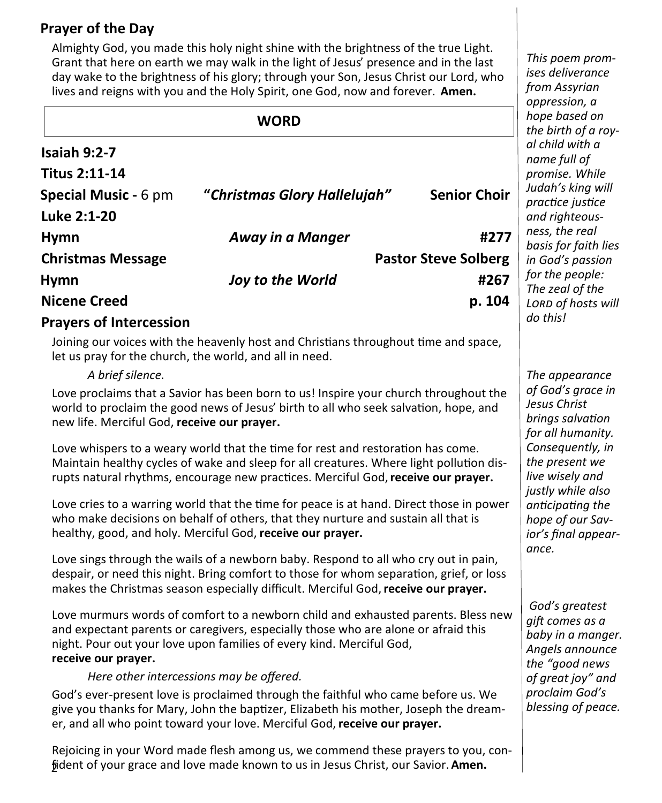# **Prayer of the Day**

Almighty God, you made this holy night shine with the brightness of the true Light. Grant that here on earth we may walk in the light of Jesus' presence and in the last day wake to the brightness of his glory; through your Son, Jesus Christ our Lord, who lives and reigns with you and the Holy Spirit, one God, now and forever. **Amen.**

**Isaiah 9:2-7 Titus 2:11-14 Special Music -** 6 pm **"***Christmas Glory Hallelujah"* **Senior Choir Luke 2:1-20 Hymn** *Away in a Manger* **#277 Christmas Message Pastor Steve Solberg Hymn** *Joy to the World* **#267 Nicene Creed p. 104 Prayers of Intercession WORD**

#### Joining our voices with the heavenly host and Christians throughout time and space, let us pray for the church, the world, and all in need.

#### *A brief silence.*

Love proclaims that a Savior has been born to us! Inspire your church throughout the world to proclaim the good news of Jesus' birth to all who seek salvation, hope, and new life. Merciful God, **receive our prayer.**

Love whispers to a weary world that the time for rest and restoration has come. Maintain healthy cycles of wake and sleep for all creatures. Where light pollution disrupts natural rhythms, encourage new practices. Merciful God, **receive our prayer.**

Love cries to a warring world that the time for peace is at hand. Direct those in power who make decisions on behalf of others, that they nurture and sustain all that is healthy, good, and holy. Merciful God, **receive our prayer.**

Love sings through the wails of a newborn baby. Respond to all who cry out in pain, despair, or need this night. Bring comfort to those for whom separation, grief, or loss makes the Christmas season especially difficult. Merciful God, **receive our prayer.**

Love murmurs words of comfort to a newborn child and exhausted parents. Bless new and expectant parents or caregivers, especially those who are alone or afraid this night. Pour out your love upon families of every kind. Merciful God, **receive our prayer.**

#### *Here other intercessions may be offered.*

God's ever-present love is proclaimed through the faithful who came before us. We give you thanks for Mary, John the baptizer, Elizabeth his mother, Joseph the dreamer, and all who point toward your love. Merciful God, **receive our prayer.**

2 fident of your grace and love made known to us in Jesus Christ, our Savior. **Amen.** Rejoicing in your Word made flesh among us, we commend these prayers to you, con-

*This poem promises deliverance from Assyrian oppression, a hope based on the birth of a royal child with a name full of promise. While Judah's king will practice justice and righteousness, the real basis for faith lies in God's passion for the people: The zeal of the Lord of hosts will do this!*

*The appearance of God's grace in Jesus Christ brings salvation for all humanity. Consequently, in the present we live wisely and justly while also anticipating the hope of our Savior's final appearance.*

*God's greatest gift comes as a baby in a manger. Angels announce the "good news of great joy" and proclaim God's blessing of peace.*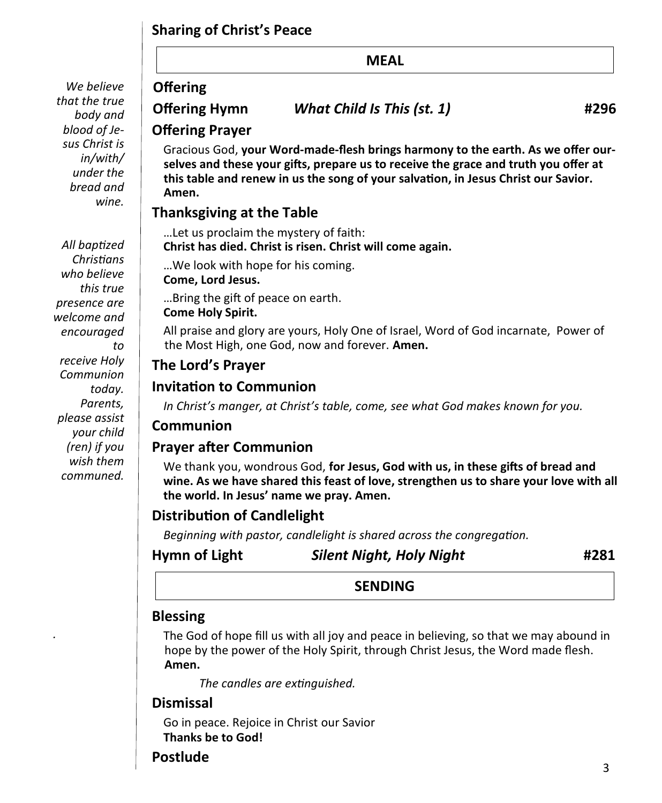# **Sharing of Christ's Peace**

*We believe that the true body and blood of Jesus Christ is in/with/ under the bread and wine.*

*All baptized Christians who believe this true presence are welcome and encouraged to receive Holy Communion today. Parents, please assist your child (ren) if you wish them communed.*

*.*

#### **MEAL**

# **Offering**

**Offering Hymn** *What Child Is This (st. 1)* **#296**

#### **Offering Prayer**

Gracious God, **your Word-made-flesh brings harmony to the earth. As we offer ourselves and these your gifts, prepare us to receive the grace and truth you offer at this table and renew in us the song of your salvation, in Jesus Christ our Savior. Amen.**

# **Thanksgiving at the Table**

…Let us proclaim the mystery of faith:

**Christ has died. Christ is risen. Christ will come again.**

…We look with hope for his coming. **Come, Lord Jesus.**

…Bring the gift of peace on earth.

#### **Come Holy Spirit.**

All praise and glory are yours, Holy One of Israel, Word of God incarnate, Power of the Most High, one God, now and forever. **Amen.**

### **The Lord's Prayer**

### **Invitation to Communion**

*In Christ's manger, at Christ's table, come, see what God makes known for you.*

#### **Communion**

#### **Prayer after Communion**

We thank you, wondrous God, **for Jesus, God with us, in these gifts of bread and wine. As we have shared this feast of love, strengthen us to share your love with all the world. In Jesus' name we pray. Amen.**

# **Distribution of Candlelight**

*Beginning with pastor, candlelight is shared across the congregation.*

# **Hymn of Light** *Silent Night, Holy Night* **#281**

#### **SENDING**

#### **Blessing**

The God of hope fill us with all joy and peace in believing, so that we may abound in hope by the power of the Holy Spirit, through Christ Jesus, the Word made flesh. **Amen.**

*The candles are extinguished.*

#### **Dismissal**

Go in peace. Rejoice in Christ our Savior **Thanks be to God!**

# **Postlude**